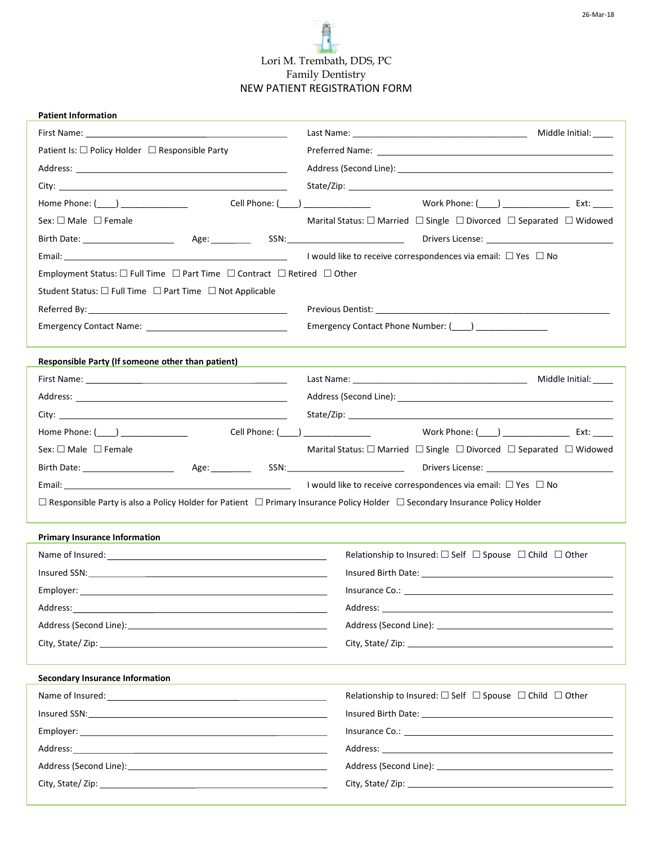# Lori M. Trembath, DDS, PC Family Dentistry NEW PATIENT REGISTRATION FORM

| <b>Patient Information</b>                                                                                                                                                                                                                                                    |                                                                                                             |  |  |  |  |
|-------------------------------------------------------------------------------------------------------------------------------------------------------------------------------------------------------------------------------------------------------------------------------|-------------------------------------------------------------------------------------------------------------|--|--|--|--|
| First Name: The Commission of the Commission of the Commission of the Commission of the Commission of the Commission of the Commission of the Commission of the Commission of the Commission of the Commission of the Commissi                                                |                                                                                                             |  |  |  |  |
| Patient Is: □ Policy Holder □ Responsible Party                                                                                                                                                                                                                               |                                                                                                             |  |  |  |  |
|                                                                                                                                                                                                                                                                               |                                                                                                             |  |  |  |  |
|                                                                                                                                                                                                                                                                               |                                                                                                             |  |  |  |  |
| Cell Phone: (_____) ________________<br>Home Phone: $(\_\_\_\_$                                                                                                                                                                                                               | Work Phone: ( ) Ext: _____                                                                                  |  |  |  |  |
| Sex: $\square$ Male $\square$ Female                                                                                                                                                                                                                                          | Marital Status: $\square$ Married $\square$ Single $\square$ Divorced $\square$ Separated $\square$ Widowed |  |  |  |  |
|                                                                                                                                                                                                                                                                               | Drivers License: <u>___________________________________</u>                                                 |  |  |  |  |
|                                                                                                                                                                                                                                                                               | I would like to receive correspondences via email: $\Box$ Yes $\Box$ No                                     |  |  |  |  |
| Employment Status: $\square$ Full Time $\square$ Part Time $\square$ Contract $\square$ Retired $\square$ Other                                                                                                                                                               |                                                                                                             |  |  |  |  |
| Student Status: □ Full Time □ Part Time □ Not Applicable                                                                                                                                                                                                                      |                                                                                                             |  |  |  |  |
|                                                                                                                                                                                                                                                                               |                                                                                                             |  |  |  |  |
| Emergency Contact Name: Name: Name and Allen Contact Name and Allen Contact Name and Allen Contact Allen Conta                                                                                                                                                                | Emergency Contact Phone Number: (1992) 2022 1994                                                            |  |  |  |  |
| Responsible Party (If someone other than patient)                                                                                                                                                                                                                             |                                                                                                             |  |  |  |  |
|                                                                                                                                                                                                                                                                               |                                                                                                             |  |  |  |  |
| Address: Analysis and the second service of the service of the service of the service of the service of the service of the service of the service of the service of the service of the service of the service of the service o                                                |                                                                                                             |  |  |  |  |
|                                                                                                                                                                                                                                                                               |                                                                                                             |  |  |  |  |
|                                                                                                                                                                                                                                                                               | Cell Phone: (____) ___________________     Work Phone: (____) __________________ Ext: _____                 |  |  |  |  |
| Sex: $\Box$ Male $\Box$ Female                                                                                                                                                                                                                                                | Marital Status: $\square$ Married $\square$ Single $\square$ Divorced $\square$ Separated $\square$ Widowed |  |  |  |  |
|                                                                                                                                                                                                                                                                               |                                                                                                             |  |  |  |  |
|                                                                                                                                                                                                                                                                               |                                                                                                             |  |  |  |  |
| Email: $\Box$ and $\Box$ and $\Box$ are $\Box$ and $\Box$ are $\Box$ and $\Box$ are $\Box$ are $\Box$ are $\Box$ are $\Box$ are $\Box$ are $\Box$ are $\Box$ are $\Box$ are $\Box$ are $\Box$ are $\Box$ are $\Box$ are $\Box$ are $\Box$ are $\Box$ are $\Box$ are $\Box$ ar |                                                                                                             |  |  |  |  |
| $\Box$ Responsible Party is also a Policy Holder for Patient $\Box$ Primary Insurance Policy Holder $\Box$ Secondary Insurance Policy Holder                                                                                                                                  |                                                                                                             |  |  |  |  |
| <b>Primary Insurance Information</b>                                                                                                                                                                                                                                          |                                                                                                             |  |  |  |  |
|                                                                                                                                                                                                                                                                               | Relationship to Insured: $\Box$ Self $\Box$ Spouse $\Box$ Child $\Box$ Other                                |  |  |  |  |
|                                                                                                                                                                                                                                                                               |                                                                                                             |  |  |  |  |
| Employer: ____________                                                                                                                                                                                                                                                        |                                                                                                             |  |  |  |  |
|                                                                                                                                                                                                                                                                               |                                                                                                             |  |  |  |  |
|                                                                                                                                                                                                                                                                               |                                                                                                             |  |  |  |  |
|                                                                                                                                                                                                                                                                               |                                                                                                             |  |  |  |  |
| <b>Secondary Insurance Information</b>                                                                                                                                                                                                                                        |                                                                                                             |  |  |  |  |
| Name of Insured: <u>Name of Insured:</u> Name of Insured:                                                                                                                                                                                                                     | Relationship to Insured: $\square$ Self $\square$ Spouse $\square$ Child $\square$ Other                    |  |  |  |  |
|                                                                                                                                                                                                                                                                               |                                                                                                             |  |  |  |  |
| Employer: the contract of the contract of the contract of the contract of the contract of the contract of the contract of the contract of the contract of the contract of the contract of the contract of the contract of the                                                 |                                                                                                             |  |  |  |  |
|                                                                                                                                                                                                                                                                               |                                                                                                             |  |  |  |  |
|                                                                                                                                                                                                                                                                               |                                                                                                             |  |  |  |  |
|                                                                                                                                                                                                                                                                               |                                                                                                             |  |  |  |  |